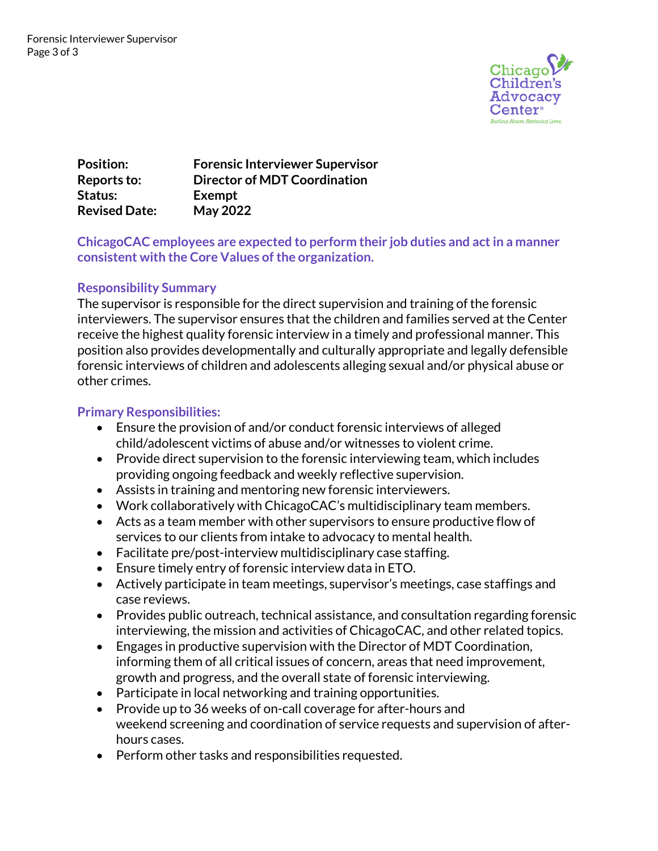

**Position: Forensic Interviewer Supervisor Reports to: Director of MDT Coordination Status: Exempt Revised Date: May 2022**

# **ChicagoCAC employees are expected to perform their job duties and act in a manner consistent with the Core Values of the organization.**

# **Responsibility Summary**

The supervisor is responsible for the direct supervision and training of the forensic interviewers. The supervisor ensures that the children and families served at the Center receive the highest quality forensic interview in a timely and professional manner. This position also provides developmentally and culturally appropriate and legally defensible forensic interviews of children and adolescents alleging sexual and/or physical abuse or other crimes.

# **Primary Responsibilities:**

- Ensure the provision of and/or conduct forensic interviews of alleged child/adolescent victims of abuse and/or witnesses to violent crime.
- Provide direct supervision to the forensic interviewing team, which includes providing ongoing feedback and weekly reflective supervision.
- Assists in training and mentoring new forensic interviewers.
- Work collaboratively with ChicagoCAC's multidisciplinary team members.
- Acts as a team member with other supervisors to ensure productive flow of services to our clients from intake to advocacy to mental health.
- Facilitate pre/post-interview multidisciplinary case staffing.
- Ensure timely entry of forensic interview data in ETO.
- Actively participate in team meetings, supervisor's meetings, case staffings and case reviews.
- Provides public outreach, technical assistance, and consultation regarding forensic interviewing, the mission and activities of ChicagoCAC, and other related topics.
- Engages in productive supervision with the Director of MDT Coordination, informing them of all critical issues of concern, areas that need improvement, growth and progress, and the overall state of forensic interviewing.
- Participate in local networking and training opportunities.
- Provide up to 36 weeks of on-call coverage for after-hours and weekend screening and coordination of service requests and supervision of afterhours cases.
- Perform other tasks and responsibilities requested.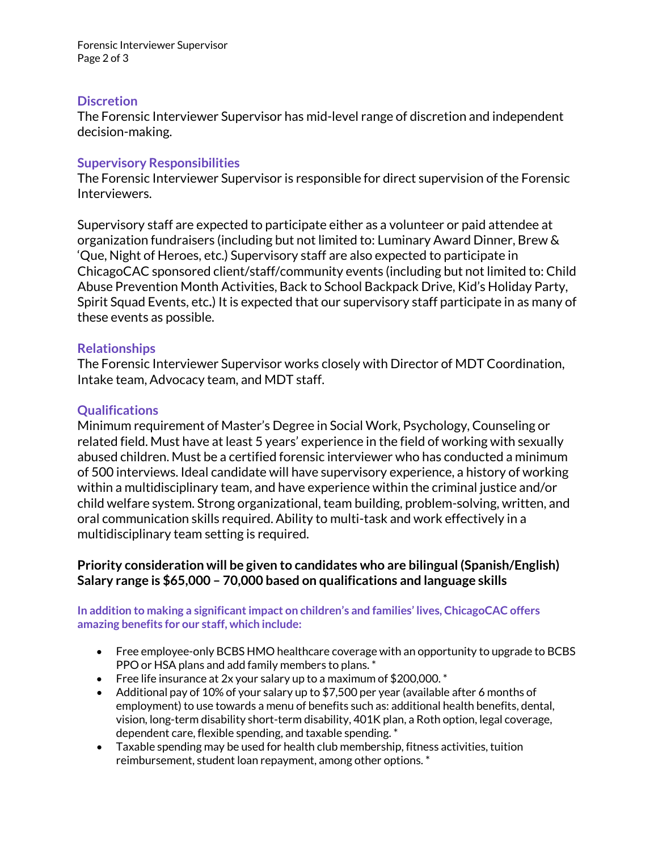Forensic Interviewer Supervisor Page 2 of 3

#### **Discretion**

The Forensic Interviewer Supervisor has mid-level range of discretion and independent decision-making.

#### **Supervisory Responsibilities**

The Forensic Interviewer Supervisor is responsible for direct supervision of the Forensic Interviewers.

Supervisory staff are expected to participate either as a volunteer or paid attendee at organization fundraisers (including but not limited to: Luminary Award Dinner, Brew & 'Que, Night of Heroes, etc.) Supervisory staff are also expected to participate in ChicagoCAC sponsored client/staff/community events (including but not limited to: Child Abuse Prevention Month Activities, Back to School Backpack Drive, Kid's Holiday Party, Spirit Squad Events, etc**.**) It is expected that our supervisory staff participate in as many of these events as possible.

### **Relationships**

The Forensic Interviewer Supervisor works closely with Director of MDT Coordination, Intake team, Advocacy team, and MDT staff.

### **Qualifications**

Minimum requirement of Master's Degree in Social Work, Psychology, Counseling or related field. Must have at least 5 years' experience in the field of working with sexually abused children. Must be a certified forensic interviewer who has conducted a minimum of 500 interviews. Ideal candidate will have supervisory experience, a history of working within a multidisciplinary team, and have experience within the criminal justice and/or child welfare system. Strong organizational, team building, problem-solving, written, and oral communication skills required. Ability to multi-task and work effectively in a multidisciplinary team setting is required.

### **Priority consideration will be given to candidates who are bilingual (Spanish/English) Salary range is \$65,000 – 70,000 based on qualifications and language skills**

#### **In addition to making a significant impact on children's and families' lives, ChicagoCAC offers amazing benefits for our staff, which include:**

- Free employee-only BCBS HMO healthcare coverage with an opportunity to upgrade to BCBS PPO or HSA plans and add family members to plans. \*
- Free life insurance at 2x your salary up to a maximum of \$200,000.  $^*$
- Additional pay of 10% of your salary up to \$7,500 per year (available after 6 months of employment) to use towards a menu of benefits such as: additional health benefits, dental, vision, long-term disability short-term disability, 401K plan, a Roth option, legal coverage, dependent care, flexible spending, and taxable spending. \*
- Taxable spending may be used for health club membership, fitness activities, tuition reimbursement, student loan repayment, among other options. \*